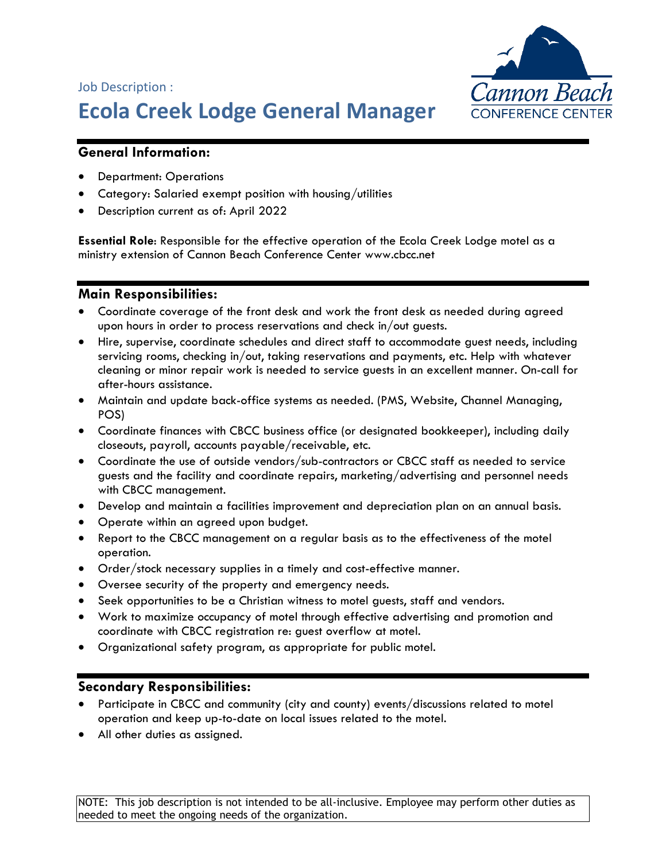

# Job Description : **Ecola Creek Lodge General Manager**

## **General Information:**

- Department: Operations
- Category: Salaried exempt position with housing/utilities
- Description current as of: April 2022

**Essential Role**: Responsible for the effective operation of the Ecola Creek Lodge motel as a ministry extension of Cannon Beach Conference Center www.cbcc.net

#### **Main Responsibilities:**

- Coordinate coverage of the front desk and work the front desk as needed during agreed upon hours in order to process reservations and check in/out guests.
- Hire, supervise, coordinate schedules and direct staff to accommodate guest needs, including servicing rooms, checking in/out, taking reservations and payments, etc. Help with whatever cleaning or minor repair work is needed to service guests in an excellent manner. On-call for after-hours assistance.
- Maintain and update back-office systems as needed. (PMS, Website, Channel Managing, POS)
- Coordinate finances with CBCC business office (or designated bookkeeper), including daily closeouts, payroll, accounts payable/receivable, etc.
- Coordinate the use of outside vendors/sub-contractors or CBCC staff as needed to service guests and the facility and coordinate repairs, marketing/advertising and personnel needs with CBCC management.
- Develop and maintain a facilities improvement and depreciation plan on an annual basis.
- Operate within an agreed upon budget.
- Report to the CBCC management on a regular basis as to the effectiveness of the motel operation.
- Order/stock necessary supplies in a timely and cost-effective manner.
- Oversee security of the property and emergency needs.
- Seek opportunities to be a Christian witness to motel guests, staff and vendors.
- Work to maximize occupancy of motel through effective advertising and promotion and coordinate with CBCC registration re: guest overflow at motel.
- Organizational safety program, as appropriate for public motel.

#### **Secondary Responsibilities:**

- Participate in CBCC and community (city and county) events/discussions related to motel operation and keep up-to-date on local issues related to the motel.
- All other duties as assigned.

NOTE: This job description is not intended to be all-inclusive. Employee may perform other duties as needed to meet the ongoing needs of the organization.